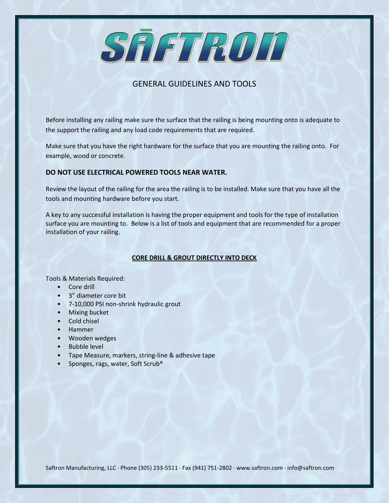SAFTROD

# GENERAL GUIDELINES AND TOOLS

Before installing any railing make sure the surface that the railing is being mounting onto is adequate to the support the railing and any load code requirements that are required.

Make sure that you have the right hardware for the surface that you are mounting the railing onto. For example, wood or concrete.

# **DO NOT USE ELECTRICAL POWERED TOOLS NEAR WATER.**

Review the layout of the railing for the area the railing is to be installed. Make sure that you have all the tools and mounting hardware before you start.

A key to any successful installation is having the proper equipment and tools for the type of installation surface you are mounting to. Below is a list of tools and equipment that are recommended for a proper installation of your railing.

## **CORE DRILL & GROUT DIRECTLY INTO DECK**

Tools & Materials Required:

- Core drill
- 3" diameter core bit
- 7-10,000 PSI non-shrink hydraulic grout
- Mixing bucket
- Cold chisel
- Hammer
- Wooden wedges
- Bubble level
- Tape Measure, markers, string-line & adhesive tape
- Sponges, rags, water, Soft Scrub®

Saftron Manufacturing, LLC · Phone (305) 233-5511 · Fax (941) 751-2802 · www.saftron.com · info@saftron.com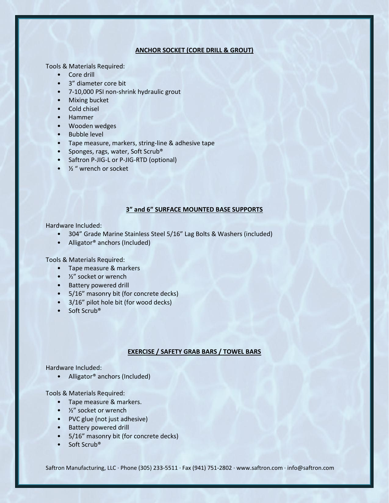## **ANCHOR SOCKET (CORE DRILL & GROUT)**

Tools & Materials Required:

- Core drill
- 3" diameter core bit
- 7-10,000 PSI non-shrink hydraulic grout
- Mixing bucket
- Cold chisel
- Hammer
- Wooden wedges
- Bubble level
- Tape measure, markers, string-line & adhesive tape
- Sponges, rags, water, Soft Scrub®
- Saftron P-JIG-L or P-JIG-RTD (optional)
- $\bullet$   $\frac{1}{2}$  " wrench or socket

## **3" and 6" SURFACE MOUNTED BASE SUPPORTS**

Hardware Included:

- 304" Grade Marine Stainless Steel 5/16" Lag Bolts & Washers (included)
- Alligator<sup>®</sup> anchors (Included)

Tools & Materials Required:

- Tape measure & markers
- ½" socket or wrench
- Battery powered drill
- 5/16" masonry bit (for concrete decks)
- 3/16" pilot hole bit (for wood decks)
- Soft Scrub®

#### **EXERCISE / SAFETY GRAB BARS / TOWEL BARS**

Hardware Included:

• Alligator® anchors (Included)

Tools & Materials Required:

- Tape measure & markers.
- ½" socket or wrench
- PVC glue (not just adhesive)
- Battery powered drill
- 5/16" masonry bit (for concrete decks)
- Soft Scrub<sup>®</sup>

Saftron Manufacturing, LLC · Phone (305) 233-5511 · Fax (941) 751-2802 · www.saftron.com · info@saftron.com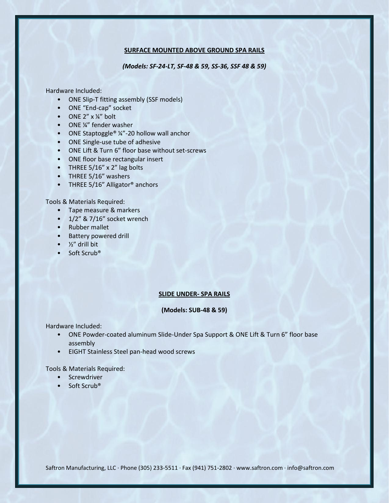## **SURFACE MOUNTED ABOVE GROUND SPA RAILS**

*(Models: SF-24-LT, SF-48 & 59, SS-36, SSF 48 & 59)*

Hardware Included:

- ONE Slip-T fitting assembly (SSF models)
- ONE "End-cap" socket
- ONE  $2'' \times 14''$  bolt
- ONE ¼" fender washer
- ONE Staptoggle<sup>®</sup> ¼"-20 hollow wall anchor
- ONE Single-use tube of adhesive
- ONE Lift & Turn 6" floor base without set-screws
- ONE floor base rectangular insert
- THREE 5/16" x 2" lag bolts
- THREE 5/16" washers
- THREE 5/16" Alligator<sup>®</sup> anchors

Tools & Materials Required:

- Tape measure & markers
- 1/2" & 7/16" socket wrench
- Rubber mallet
- Battery powered drill
- $\bullet$   $\frac{1}{2}$ " drill bit
- Soft Scrub<sup>®</sup>

### **SLIDE UNDER- SPA RAILS**

## **(Models: SUB-48 & 59)**

Hardware Included:

- ONE Powder-coated aluminum Slide-Under Spa Support & ONE Lift & Turn 6" floor base assembly
- EIGHT Stainless Steel pan-head wood screws

Tools & Materials Required:

- Screwdriver
- Soft Scrub<sup>®</sup>

Saftron Manufacturing, LLC · Phone (305) 233-5511 · Fax (941) 751-2802 · www.saftron.com · info@saftron.com